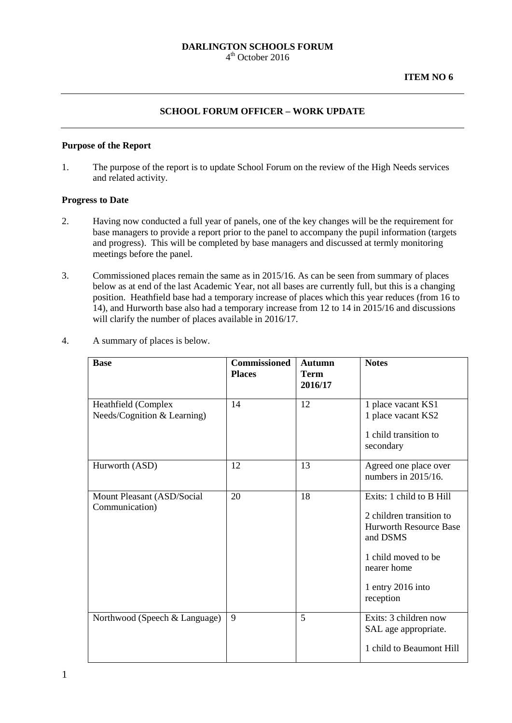### **DARLINGTON SCHOOLS FORUM** 4<sup>th</sup> October 2016

## **SCHOOL FORUM OFFICER – WORK UPDATE**

### **Purpose of the Report**

1. The purpose of the report is to update School Forum on the review of the High Needs services and related activity.

### **Progress to Date**

- 2. Having now conducted a full year of panels, one of the key changes will be the requirement for base managers to provide a report prior to the panel to accompany the pupil information (targets and progress). This will be completed by base managers and discussed at termly monitoring meetings before the panel.
- 3. Commissioned places remain the same as in 2015/16. As can be seen from summary of places below as at end of the last Academic Year, not all bases are currently full, but this is a changing position. Heathfield base had a temporary increase of places which this year reduces (from 16 to 14), and Hurworth base also had a temporary increase from 12 to 14 in 2015/16 and discussions will clarify the number of places available in 2016/17.
- 4. A summary of places is below.

| <b>Base</b>                                        | Commissioned<br><b>Places</b> | <b>Autumn</b><br><b>Term</b><br>2016/17 | <b>Notes</b>                                                                                                                                                              |
|----------------------------------------------------|-------------------------------|-----------------------------------------|---------------------------------------------------------------------------------------------------------------------------------------------------------------------------|
| Heathfield (Complex<br>Needs/Cognition & Learning) | 14                            | 12                                      | 1 place vacant KS1<br>1 place vacant KS2<br>1 child transition to<br>secondary                                                                                            |
| Hurworth (ASD)                                     | 12                            | 13                                      | Agreed one place over<br>numbers in 2015/16.                                                                                                                              |
| Mount Pleasant (ASD/Social<br>Communication)       | 20                            | 18                                      | Exits: 1 child to B Hill<br>2 children transition to<br><b>Hurworth Resource Base</b><br>and DSMS<br>1 child moved to be<br>nearer home<br>1 entry 2016 into<br>reception |
| Northwood (Speech & Language)                      | 9                             | 5                                       | Exits: 3 children now<br>SAL age appropriate.<br>1 child to Beaumont Hill                                                                                                 |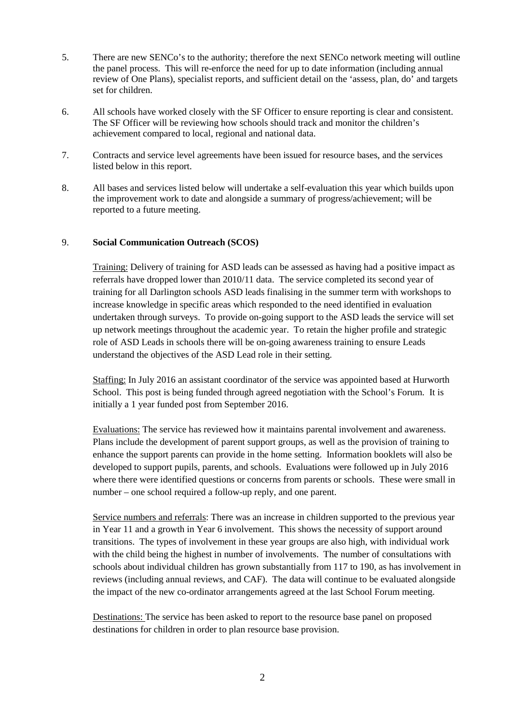- 5. There are new SENCo's to the authority; therefore the next SENCo network meeting will outline the panel process. This will re-enforce the need for up to date information (including annual review of One Plans), specialist reports, and sufficient detail on the 'assess, plan, do' and targets set for children.
- 6. All schools have worked closely with the SF Officer to ensure reporting is clear and consistent. The SF Officer will be reviewing how schools should track and monitor the children's achievement compared to local, regional and national data.
- 7. Contracts and service level agreements have been issued for resource bases, and the services listed below in this report.
- 8. All bases and services listed below will undertake a self-evaluation this year which builds upon the improvement work to date and alongside a summary of progress/achievement; will be reported to a future meeting.

## 9. **Social Communication Outreach (SCOS)**

Training: Delivery of training for ASD leads can be assessed as having had a positive impact as referrals have dropped lower than 2010/11 data. The service completed its second year of training for all Darlington schools ASD leads finalising in the summer term with workshops to increase knowledge in specific areas which responded to the need identified in evaluation undertaken through surveys. To provide on-going support to the ASD leads the service will set up network meetings throughout the academic year. To retain the higher profile and strategic role of ASD Leads in schools there will be on-going awareness training to ensure Leads understand the objectives of the ASD Lead role in their setting.

Staffing: In July 2016 an assistant coordinator of the service was appointed based at Hurworth School. This post is being funded through agreed negotiation with the School's Forum. It is initially a 1 year funded post from September 2016.

Evaluations: The service has reviewed how it maintains parental involvement and awareness. Plans include the development of parent support groups, as well as the provision of training to enhance the support parents can provide in the home setting. Information booklets will also be developed to support pupils, parents, and schools. Evaluations were followed up in July 2016 where there were identified questions or concerns from parents or schools. These were small in number – one school required a follow-up reply, and one parent.

Service numbers and referrals: There was an increase in children supported to the previous year in Year 11 and a growth in Year 6 involvement. This shows the necessity of support around transitions. The types of involvement in these year groups are also high, with individual work with the child being the highest in number of involvements. The number of consultations with schools about individual children has grown substantially from 117 to 190, as has involvement in reviews (including annual reviews, and CAF). The data will continue to be evaluated alongside the impact of the new co-ordinator arrangements agreed at the last School Forum meeting.

Destinations: The service has been asked to report to the resource base panel on proposed destinations for children in order to plan resource base provision.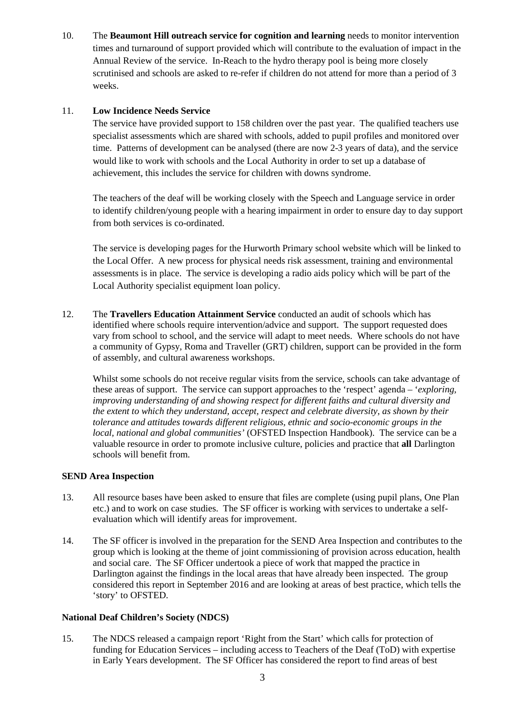10. The **Beaumont Hill outreach service for cognition and learning** needs to monitor intervention times and turnaround of support provided which will contribute to the evaluation of impact in the Annual Review of the service. In-Reach to the hydro therapy pool is being more closely scrutinised and schools are asked to re-refer if children do not attend for more than a period of 3 weeks.

# 11. **Low Incidence Needs Service**

The service have provided support to 158 children over the past year. The qualified teachers use specialist assessments which are shared with schools, added to pupil profiles and monitored over time. Patterns of development can be analysed (there are now 2-3 years of data), and the service would like to work with schools and the Local Authority in order to set up a database of achievement, this includes the service for children with downs syndrome.

The teachers of the deaf will be working closely with the Speech and Language service in order to identify children/young people with a hearing impairment in order to ensure day to day support from both services is co-ordinated.

The service is developing pages for the Hurworth Primary school website which will be linked to the Local Offer. A new process for physical needs risk assessment, training and environmental assessments is in place. The service is developing a radio aids policy which will be part of the Local Authority specialist equipment loan policy.

12. The **Travellers Education Attainment Service** conducted an audit of schools which has identified where schools require intervention/advice and support. The support requested does vary from school to school, and the service will adapt to meet needs. Where schools do not have a community of Gypsy, Roma and Traveller (GRT) children, support can be provided in the form of assembly, and cultural awareness workshops.

Whilst some schools do not receive regular visits from the service, schools can take advantage of these areas of support. The service can support approaches to the 'respect' agenda – '*exploring, improving understanding of and showing respect for different faiths and cultural diversity and the extent to which they understand, accept, respect and celebrate diversity, as shown by their tolerance and attitudes towards different religious, ethnic and socio-economic groups in the local, national and global communities'* (OFSTED Inspection Handbook). The service can be a valuable resource in order to promote inclusive culture, policies and practice that **all** Darlington schools will benefit from.

# **SEND Area Inspection**

- 13. All resource bases have been asked to ensure that files are complete (using pupil plans, One Plan etc.) and to work on case studies. The SF officer is working with services to undertake a selfevaluation which will identify areas for improvement.
- 14. The SF officer is involved in the preparation for the SEND Area Inspection and contributes to the group which is looking at the theme of joint commissioning of provision across education, health and social care. The SF Officer undertook a piece of work that mapped the practice in Darlington against the findings in the local areas that have already been inspected. The group considered this report in September 2016 and are looking at areas of best practice, which tells the 'story' to OFSTED.

# **National Deaf Children's Society (NDCS)**

15. The NDCS released a campaign report 'Right from the Start' which calls for protection of funding for Education Services – including access to Teachers of the Deaf (ToD) with expertise in Early Years development. The SF Officer has considered the report to find areas of best